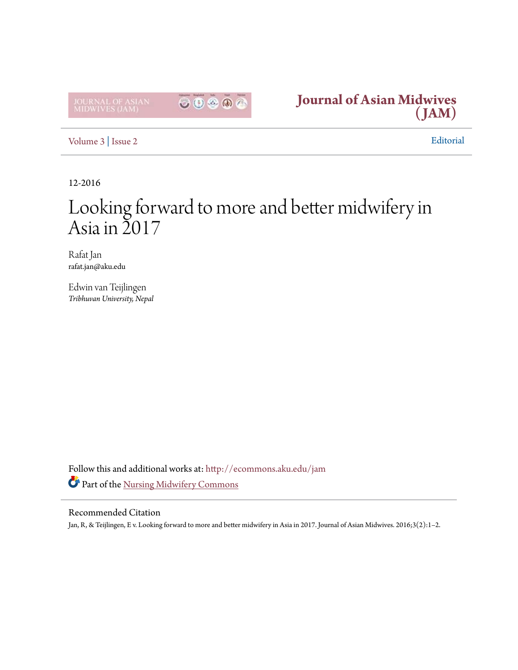



[Volume 3](http://ecommons.aku.edu/jam/vol3?utm_source=ecommons.aku.edu%2Fjam%2Fvol3%2Fiss2%2F1&utm_medium=PDF&utm_campaign=PDFCoverPages) | [Issue 2](http://ecommons.aku.edu/jam/vol3/iss2?utm_source=ecommons.aku.edu%2Fjam%2Fvol3%2Fiss2%2F1&utm_medium=PDF&utm_campaign=PDFCoverPages) Editorial

12-2016

# Looking forward to more and better midwifery in Asia in  $\Sigma$ 017

Rafat Jan rafat.jan@aku.edu

Edwin van Teijlingen *Tribhuvan University, Nepal*

Follow this and additional works at: [http://ecommons.aku.edu/jam](http://ecommons.aku.edu/jam?utm_source=ecommons.aku.edu%2Fjam%2Fvol3%2Fiss2%2F1&utm_medium=PDF&utm_campaign=PDFCoverPages) Part of the [Nursing Midwifery Commons](http://network.bepress.com/hgg/discipline/722?utm_source=ecommons.aku.edu%2Fjam%2Fvol3%2Fiss2%2F1&utm_medium=PDF&utm_campaign=PDFCoverPages)

### Recommended Citation

Jan, R, & Teijlingen, E v. Looking forward to more and better midwifery in Asia in 2017. Journal of Asian Midwives. 2016;3(2):1–2.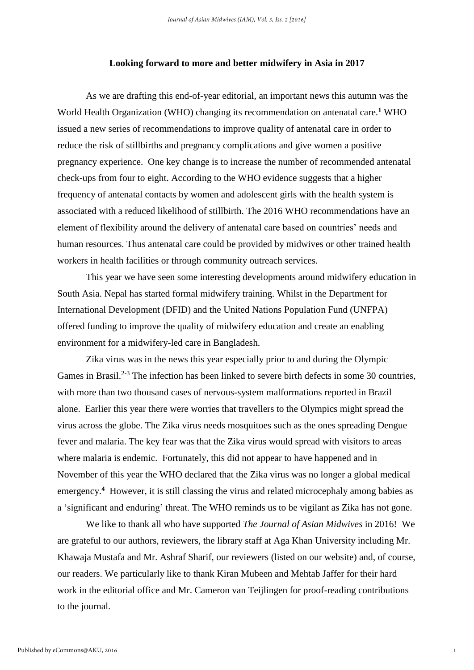#### **Looking forward to more and better midwifery in Asia in 2017**

As we are drafting this end-of-year editorial, an important news this autumn was the World Health Organization (WHO) changing its recommendation on antenatal care.**<sup>1</sup>** WHO issued a new series of recommendations to improve quality of antenatal care in order to reduce the risk of stillbirths and pregnancy complications and give women a positive pregnancy experience. One key change is to increase the number of recommended antenatal check-ups from four to eight. According to the WHO evidence suggests that a higher frequency of antenatal contacts by women and adolescent girls with the health system is associated with a reduced likelihood of stillbirth. The 2016 WHO recommendations have an element of flexibility around the delivery of antenatal care based on countries' needs and human resources. Thus antenatal care could be provided by midwives or other trained health workers in health facilities or through community outreach services.

This year we have seen some interesting developments around midwifery education in South Asia. Nepal has started formal midwifery training. Whilst in the Department for International Development (DFID) and the United Nations Population Fund (UNFPA) offered funding to improve the quality of midwifery education and create an enabling environment for a midwifery-led care in Bangladesh.

Zika virus was in the news this year especially prior to and during the Olympic Games in Brasil.<sup>2-3</sup> The infection has been linked to severe birth defects in some 30 countries, with more than two thousand cases of nervous-system malformations reported in Brazil alone. Earlier this year there were worries that travellers to the Olympics might spread the virus across the globe. The Zika virus needs mosquitoes such as the ones spreading Dengue fever and malaria. The key fear was that the Zika virus would spread with visitors to areas where malaria is endemic. Fortunately, this did not appear to have happened and in November of this year the WHO declared that the Zika virus was no longer a global medical emergency.<sup>4</sup> However, it is still classing the virus and related microcephaly among babies as a 'significant and enduring' threat. The WHO reminds us to be vigilant as Zika has not gone.

We like to thank all who have supported *The Journal of Asian Midwives* in 2016! We are grateful to our authors, reviewers, the library staff at Aga Khan University including Mr. Khawaja Mustafa and Mr. Ashraf Sharif, our reviewers (listed on our website) and, of course, our readers. We particularly like to thank Kiran Mubeen and Mehtab Jaffer for their hard work in the editorial office and Mr. Cameron van Teijlingen for proof-reading contributions to the journal.